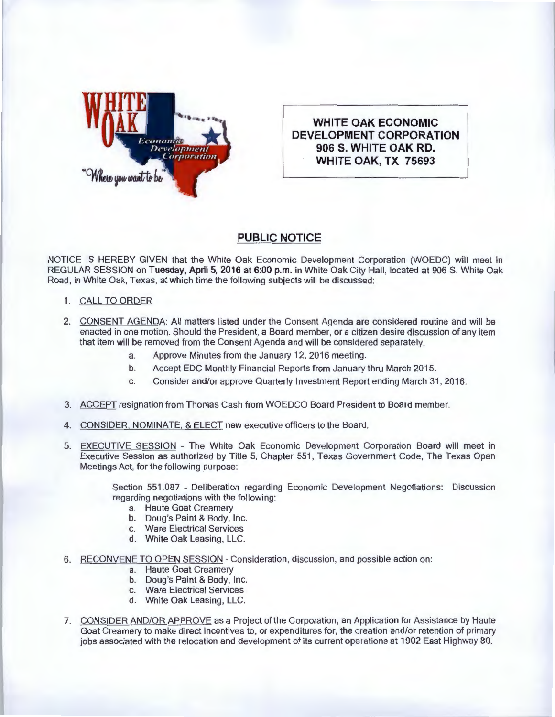

**WHITE OAK ECONOMIC DEVELOPMENT CORPORATION 906 S. WHITE OAK RD. WHITE OAK, TX 75693** 

## **PUBLIC NOTICE**

NOTICE IS HEREBY GIVEN that the White Oak Economic Development Corporation (WOEDC) will meet in REGULAR SESSION on Tuesday, April 5, 2016 at 6:00 p.m. in White Oak City Hall, located at 906 S. White Oak Road, in White Oak, Texas, at which time the following subjects will be discussed:

- 1. CALL TO ORDER
- 2. CONSENT AGENDA: All matters listed under the Consent Agenda are considered routine and will be enacted in one motion. Should the President, a Board member, or a citizen desire discussion of any item that item will be removed from the Consent Agenda and will be considered separately.
	- a. Approve Minutes from the January 12, 2016 meeting.
	- b. Accept EDC Monthly Financial Reports from January thru March 2015.
	- c. Consider and/or approve Quarterly Investment Report ending March 31 , 2016.
- 3. ACCEPT resignation from Thomas Cash from WOEDCO Board President to Board member.
- 4. CONSIDER, NOMINATE, & ELECT new executive officers to the Board.
- 5. EXECUTIVE SESSION The White Oak Economic Development Corporation Board will meet in Executive Session as authorized by Title 5, Chapter 551 , Texas Government Code, The Texas Open Meetings Act, for the following purpose:

Section 551.087 - Deliberation regarding Economic Development Negotiations: Discussion regarding negotiations with the following:

- a. Haute Goat Creamery
- b. Doug's Paint & Body, Inc.
- c. Ware Electrical Services
- d. White Oak Leasing, LLC.
- 6. RECONVENE TO OPEN SESSION Consideration, discussion, and possible action on:
	- a. Haute Goat Creamery
	- b. Doug's Paint & Body, Inc.
	- c. Ware Electrical Services
	- d. White Oak Leasing, LLC.
- 7. CONSIDER AND/OR APPROVE as a Project of the Corporation, an Application for Assistance by Haute Goat Creamery to make direct incentives to, or expenditures for, the creation and/or retention of primary jobs associated with the relocation and development of its current operations at 1902 East Highway 80.